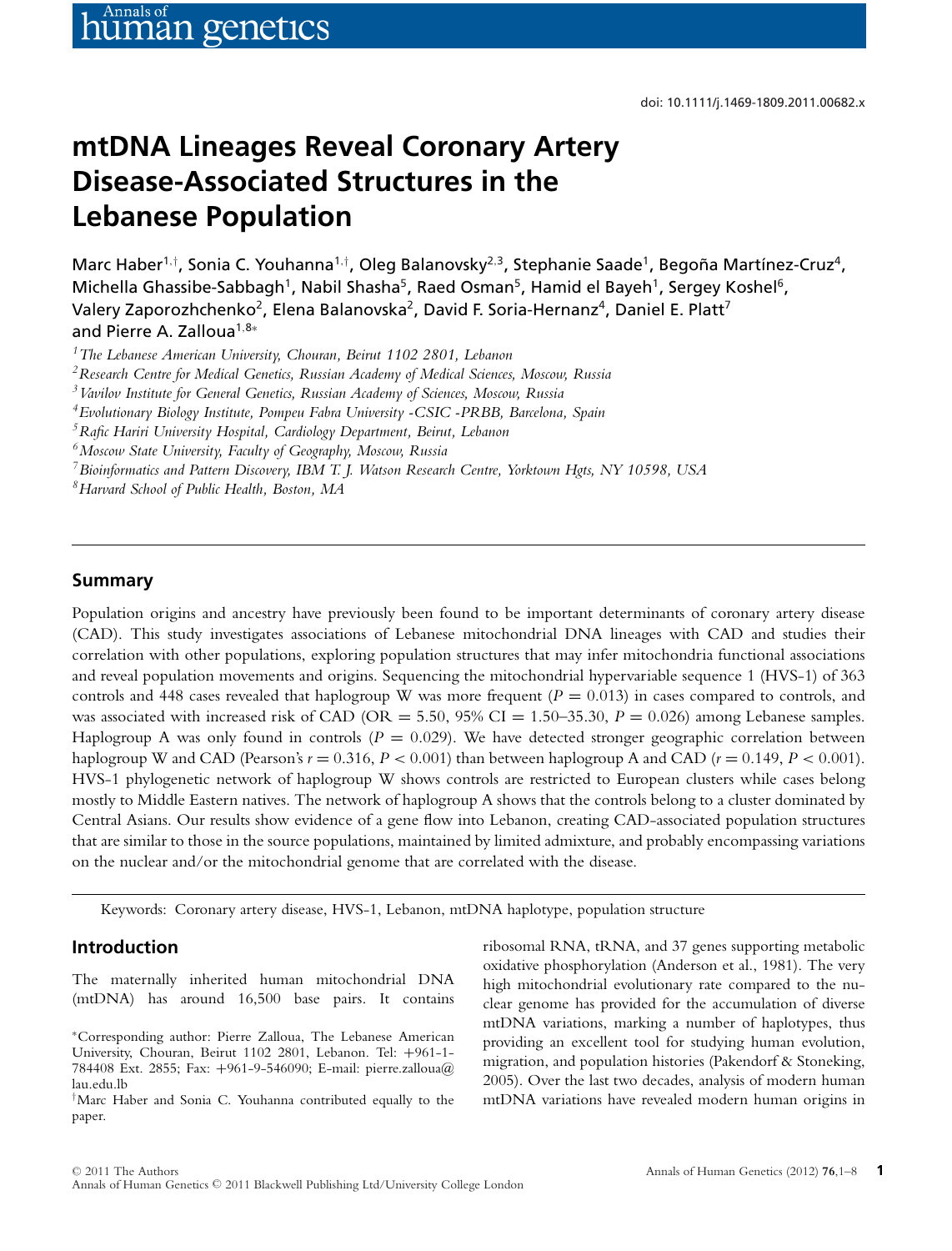# **mtDNA Lineages Reveal Coronary Artery Disease-Associated Structures in the Lebanese Population**

Marc Haber<sup>1,†</sup>, Sonia C. Youhanna<sup>1,†</sup>, Oleg Balanovsky<sup>2,3</sup>, Stephanie Saade<sup>1</sup>, Begoña Martínez-Cruz<sup>4</sup>, Michella Ghassibe-Sabbagh<sup>1</sup>, Nabil Shasha<sup>5</sup>, Raed Osman<sup>5</sup>, Hamid el Bayeh<sup>1</sup>, Sergey Koshel<sup>6</sup>, Valery Zaporozhchenko<sup>2</sup>, Elena Balanovska<sup>2</sup>, David F. Soria-Hernanz<sup>4</sup>, Daniel E. Platt<sup>7</sup> and Pierre A. Zalloua<sup>1,8</sup>\*

*1The Lebanese American University, Chouran, Beirut 1102 2801, Lebanon*

*2Research Centre for Medical Genetics, Russian Academy of Medical Sciences, Moscow, Russia*

*3Vavilov Institute for General Genetics, Russian Academy of Sciences, Moscow, Russia*

*4Evolutionary Biology Institute, Pompeu Fabra University -CSIC -PRBB, Barcelona, Spain*

*5Rafic Hariri University Hospital, Cardiology Department, Beirut, Lebanon*

*6Moscow State University, Faculty of Geography, Moscow, Russia*

*7Bioinformatics and Pattern Discovery, IBM T. J. Watson Research Centre, Yorktown Hgts, NY 10598, USA*

*8Harvard School of Public Health, Boston, MA*

### **Summary**

Population origins and ancestry have previously been found to be important determinants of coronary artery disease (CAD). This study investigates associations of Lebanese mitochondrial DNA lineages with CAD and studies their correlation with other populations, exploring population structures that may infer mitochondria functional associations and reveal population movements and origins. Sequencing the mitochondrial hypervariable sequence 1 (HVS-1) of 363 controls and 448 cases revealed that haplogroup W was more frequent  $(P = 0.013)$  in cases compared to controls, and was associated with increased risk of CAD (OR  $= 5.50$ , 95% CI  $= 1.50-35.30$ ,  $P = 0.026$ ) among Lebanese samples. Haplogroup A was only found in controls  $(P = 0.029)$ . We have detected stronger geographic correlation between haplogroup W and CAD (Pearson's  $r = 0.316$ ,  $P < 0.001$ ) than between haplogroup A and CAD ( $r = 0.149$ ,  $P < 0.001$ ). HVS-1 phylogenetic network of haplogroup W shows controls are restricted to European clusters while cases belong mostly to Middle Eastern natives. The network of haplogroup A shows that the controls belong to a cluster dominated by Central Asians. Our results show evidence of a gene flow into Lebanon, creating CAD-associated population structures that are similar to those in the source populations, maintained by limited admixture, and probably encompassing variations on the nuclear and/or the mitochondrial genome that are correlated with the disease.

Keywords: Coronary artery disease, HVS-1, Lebanon, mtDNA haplotype, population structure

## **Introduction**

The maternally inherited human mitochondrial DNA (mtDNA) has around 16,500 base pairs. It contains ribosomal RNA, tRNA, and 37 genes supporting metabolic oxidative phosphorylation (Anderson et al., 1981). The very high mitochondrial evolutionary rate compared to the nuclear genome has provided for the accumulation of diverse mtDNA variations, marking a number of haplotypes, thus providing an excellent tool for studying human evolution, migration, and population histories (Pakendorf & Stoneking, 2005). Over the last two decades, analysis of modern human mtDNA variations have revealed modern human origins in

<sup>∗</sup>Corresponding author: Pierre Zalloua, The Lebanese American University, Chouran, Beirut 1102 2801, Lebanon. Tel: +961-1- 784408 Ext. 2855; Fax: +961-9-546090; E-mail: pierre.zalloua@ lau.edu.lb

<sup>†</sup> Marc Haber and Sonia C. Youhanna contributed equally to the paper.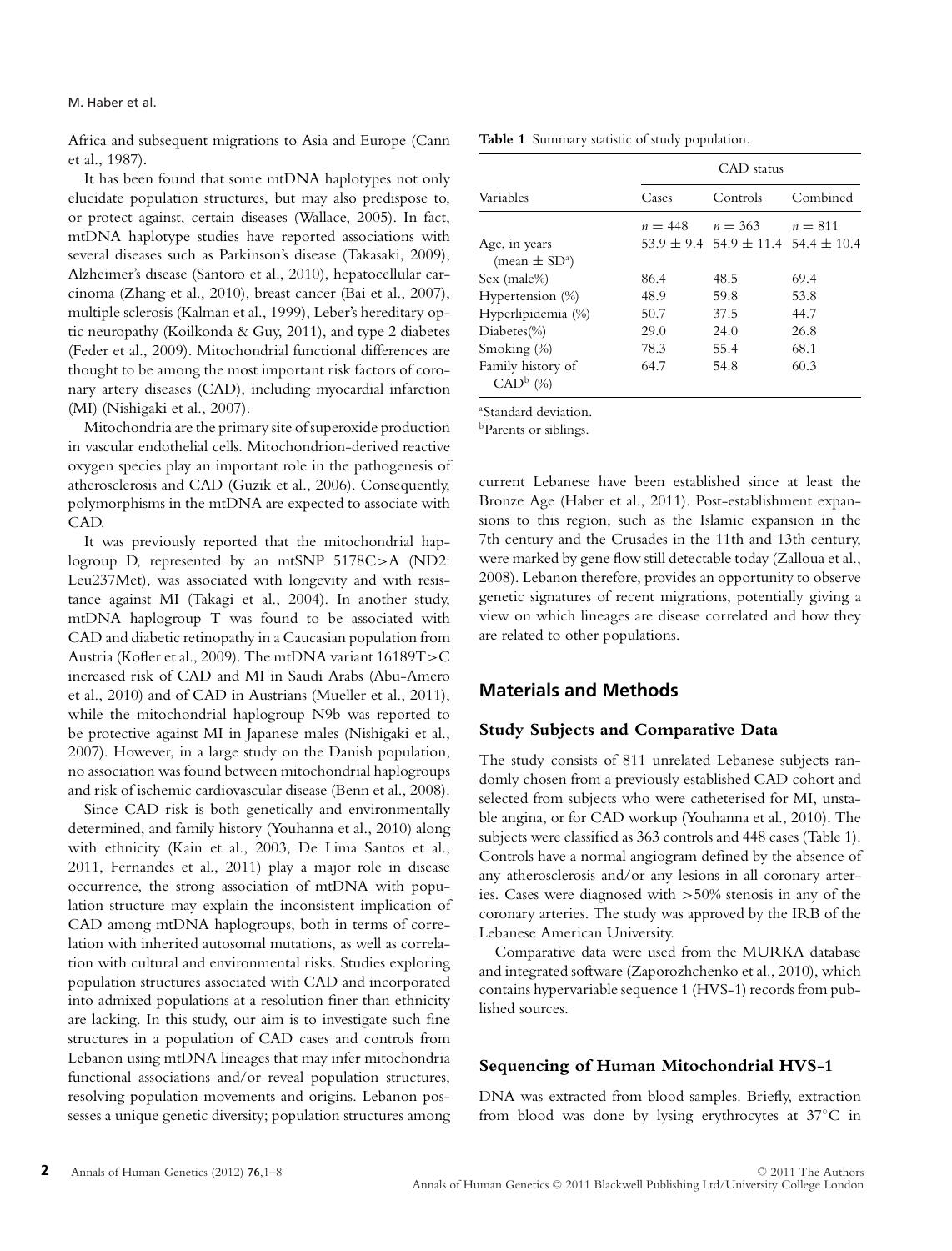#### M. Haber et al.

Africa and subsequent migrations to Asia and Europe (Cann et al., 1987).

It has been found that some mtDNA haplotypes not only elucidate population structures, but may also predispose to, or protect against, certain diseases (Wallace, 2005). In fact, mtDNA haplotype studies have reported associations with several diseases such as Parkinson's disease (Takasaki, 2009), Alzheimer's disease (Santoro et al., 2010), hepatocellular carcinoma (Zhang et al., 2010), breast cancer (Bai et al., 2007), multiple sclerosis (Kalman et al., 1999), Leber's hereditary optic neuropathy (Koilkonda & Guy, 2011), and type 2 diabetes (Feder et al., 2009). Mitochondrial functional differences are thought to be among the most important risk factors of coronary artery diseases (CAD), including myocardial infarction (MI) (Nishigaki et al., 2007).

Mitochondria are the primary site of superoxide production in vascular endothelial cells. Mitochondrion-derived reactive oxygen species play an important role in the pathogenesis of atherosclerosis and CAD (Guzik et al., 2006). Consequently, polymorphisms in the mtDNA are expected to associate with CAD.

It was previously reported that the mitochondrial haplogroup D, represented by an mtSNP 5178C>A (ND2: Leu237Met), was associated with longevity and with resistance against MI (Takagi et al., 2004). In another study, mtDNA haplogroup T was found to be associated with CAD and diabetic retinopathy in a Caucasian population from Austria (Kofler et al., 2009). The mtDNA variant 16189T>C increased risk of CAD and MI in Saudi Arabs (Abu-Amero et al., 2010) and of CAD in Austrians (Mueller et al., 2011), while the mitochondrial haplogroup N9b was reported to be protective against MI in Japanese males (Nishigaki et al., 2007). However, in a large study on the Danish population, no association was found between mitochondrial haplogroups and risk of ischemic cardiovascular disease (Benn et al., 2008).

Since CAD risk is both genetically and environmentally determined, and family history (Youhanna et al., 2010) along with ethnicity (Kain et al., 2003, De Lima Santos et al., 2011, Fernandes et al., 2011) play a major role in disease occurrence, the strong association of mtDNA with population structure may explain the inconsistent implication of CAD among mtDNA haplogroups, both in terms of correlation with inherited autosomal mutations, as well as correlation with cultural and environmental risks. Studies exploring population structures associated with CAD and incorporated into admixed populations at a resolution finer than ethnicity are lacking. In this study, our aim is to investigate such fine structures in a population of CAD cases and controls from Lebanon using mtDNA lineages that may infer mitochondria functional associations and/or reveal population structures, resolving population movements and origins. Lebanon possesses a unique genetic diversity; population structures among

|                                                           | CAD status |                                                |           |  |  |  |
|-----------------------------------------------------------|------------|------------------------------------------------|-----------|--|--|--|
| Variables                                                 | Cases      | Controls                                       | Combined  |  |  |  |
|                                                           | $n = 448$  | $n = 363$                                      | $n = 811$ |  |  |  |
| Age, in years<br>$(\text{mean} \pm \text{SD}^{\text{a}})$ |            | $53.9 \pm 9.4$ 54.9 $\pm$ 11.4 54.4 $\pm$ 10.4 |           |  |  |  |
| $Sex (male\%)$                                            | 86.4       | 48.5                                           | 69.4      |  |  |  |
| Hypertension (%)                                          | 48.9       | 59.8                                           | 53.8      |  |  |  |
| Hyperlipidemia (%)                                        | 50.7       | 37.5                                           | 44.7      |  |  |  |
| $Diabetes(\%)$                                            | 29.0       | 24.0                                           | 26.8      |  |  |  |
| Smoking $(\%)$                                            | 78.3       | 55.4                                           | 68.1      |  |  |  |
| Family history of                                         | 64.7       | 54.8                                           | 60.3      |  |  |  |
|                                                           |            |                                                |           |  |  |  |

**Table 1** Summary statistic of study population.

a Standard deviation.

 $CAD^b$  (%)

**b**Parents or siblings.

current Lebanese have been established since at least the Bronze Age (Haber et al., 2011). Post-establishment expansions to this region, such as the Islamic expansion in the 7th century and the Crusades in the 11th and 13th century, were marked by gene flow still detectable today (Zalloua et al., 2008). Lebanon therefore, provides an opportunity to observe genetic signatures of recent migrations, potentially giving a view on which lineages are disease correlated and how they are related to other populations.

## **Materials and Methods**

#### **Study Subjects and Comparative Data**

The study consists of 811 unrelated Lebanese subjects randomly chosen from a previously established CAD cohort and selected from subjects who were catheterised for MI, unstable angina, or for CAD workup (Youhanna et al., 2010). The subjects were classified as 363 controls and 448 cases (Table 1). Controls have a normal angiogram defined by the absence of any atherosclerosis and/or any lesions in all coronary arteries. Cases were diagnosed with >50% stenosis in any of the coronary arteries. The study was approved by the IRB of the Lebanese American University.

Comparative data were used from the MURKA database and integrated software (Zaporozhchenko et al., 2010), which contains hypervariable sequence 1 (HVS-1) records from published sources.

#### **Sequencing of Human Mitochondrial HVS-1**

DNA was extracted from blood samples. Briefly, extraction from blood was done by lysing erythrocytes at 37◦C in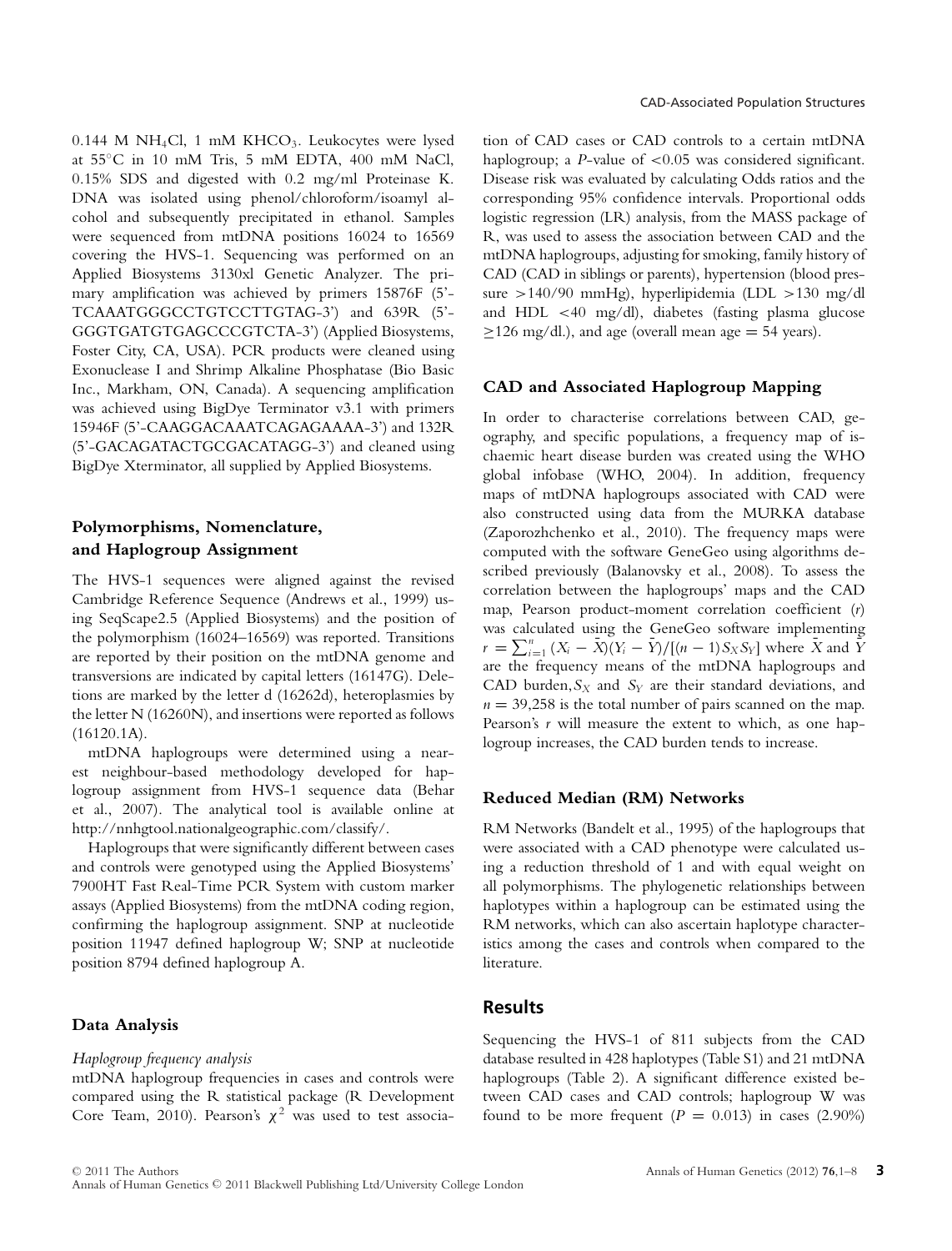$0.144$  M NH<sub>4</sub>Cl, 1 mM KHCO<sub>3</sub>. Leukocytes were lysed at 55◦C in 10 mM Tris, 5 mM EDTA, 400 mM NaCl, 0.15% SDS and digested with 0.2 mg/ml Proteinase K. DNA was isolated using phenol/chloroform/isoamyl alcohol and subsequently precipitated in ethanol. Samples were sequenced from mtDNA positions 16024 to 16569 covering the HVS-1. Sequencing was performed on an Applied Biosystems 3130xl Genetic Analyzer. The primary amplification was achieved by primers 15876F (5'- TCAAATGGGCCTGTCCTTGTAG-3') and 639R (5'- GGGTGATGTGAGCCCGTCTA-3') (Applied Biosystems, Foster City, CA, USA). PCR products were cleaned using Exonuclease I and Shrimp Alkaline Phosphatase (Bio Basic Inc., Markham, ON, Canada). A sequencing amplification was achieved using BigDye Terminator v3.1 with primers 15946F (5'-CAAGGACAAATCAGAGAAAA-3') and 132R (5'-GACAGATACTGCGACATAGG-3') and cleaned using BigDye Xterminator, all supplied by Applied Biosystems.

## **Polymorphisms, Nomenclature, and Haplogroup Assignment**

The HVS-1 sequences were aligned against the revised Cambridge Reference Sequence (Andrews et al., 1999) using SeqScape2.5 (Applied Biosystems) and the position of the polymorphism (16024–16569) was reported. Transitions are reported by their position on the mtDNA genome and transversions are indicated by capital letters (16147G). Deletions are marked by the letter d (16262d), heteroplasmies by the letter N (16260N), and insertions were reported as follows (16120.1A).

mtDNA haplogroups were determined using a nearest neighbour-based methodology developed for haplogroup assignment from HVS-1 sequence data (Behar et al., 2007). The analytical tool is available online at http://nnhgtool.nationalgeographic.com/classify/.

Haplogroups that were significantly different between cases and controls were genotyped using the Applied Biosystems' 7900HT Fast Real-Time PCR System with custom marker assays (Applied Biosystems) from the mtDNA coding region, confirming the haplogroup assignment. SNP at nucleotide position 11947 defined haplogroup W; SNP at nucleotide position 8794 defined haplogroup A.

#### **Data Analysis**

#### *Haplogroup frequency analysis*

mtDNA haplogroup frequencies in cases and controls were compared using the R statistical package (R Development Core Team, 2010). Pearson's  $\chi^2$  was used to test association of CAD cases or CAD controls to a certain mtDNA haplogroup; a *P*-value of <0.05 was considered significant. Disease risk was evaluated by calculating Odds ratios and the corresponding 95% confidence intervals. Proportional odds logistic regression (LR) analysis, from the MASS package of R, was used to assess the association between CAD and the mtDNA haplogroups, adjusting for smoking, family history of CAD (CAD in siblings or parents), hypertension (blood pressure >140/90 mmHg), hyperlipidemia (LDL >130 mg/dl and HDL <40 mg/dl), diabetes (fasting plasma glucose  $>126$  mg/dl.), and age (overall mean age  $= 54$  years).

#### **CAD and Associated Haplogroup Mapping**

In order to characterise correlations between CAD, geography, and specific populations, a frequency map of ischaemic heart disease burden was created using the WHO global infobase (WHO, 2004). In addition, frequency maps of mtDNA haplogroups associated with CAD were also constructed using data from the MURKA database (Zaporozhchenko et al., 2010). The frequency maps were computed with the software GeneGeo using algorithms described previously (Balanovsky et al., 2008). To assess the correlation between the haplogroups' maps and the CAD map, Pearson product-moment correlation coefficient (*r*) was calculated using the GeneGeo software implementing  $r = \sum_{i=1}^{n} (X_i - \bar{X})(Y_i - \bar{Y}) / [(n-1)S_XS_Y]$  where  $\bar{X}$  and  $\bar{Y}$ are the frequency means of the mtDNA haplogroups and CAD burden,  $S_X$  and  $S_Y$  are their standard deviations, and  $n = 39,258$  is the total number of pairs scanned on the map. Pearson's *r* will measure the extent to which, as one haplogroup increases, the CAD burden tends to increase.

#### **Reduced Median (RM) Networks**

RM Networks (Bandelt et al., 1995) of the haplogroups that were associated with a CAD phenotype were calculated using a reduction threshold of 1 and with equal weight on all polymorphisms. The phylogenetic relationships between haplotypes within a haplogroup can be estimated using the RM networks, which can also ascertain haplotype characteristics among the cases and controls when compared to the literature.

## **Results**

Sequencing the HVS-1 of 811 subjects from the CAD database resulted in 428 haplotypes (Table S1) and 21 mtDNA haplogroups (Table 2). A significant difference existed between CAD cases and CAD controls; haplogroup W was found to be more frequent  $(P = 0.013)$  in cases  $(2.90\%)$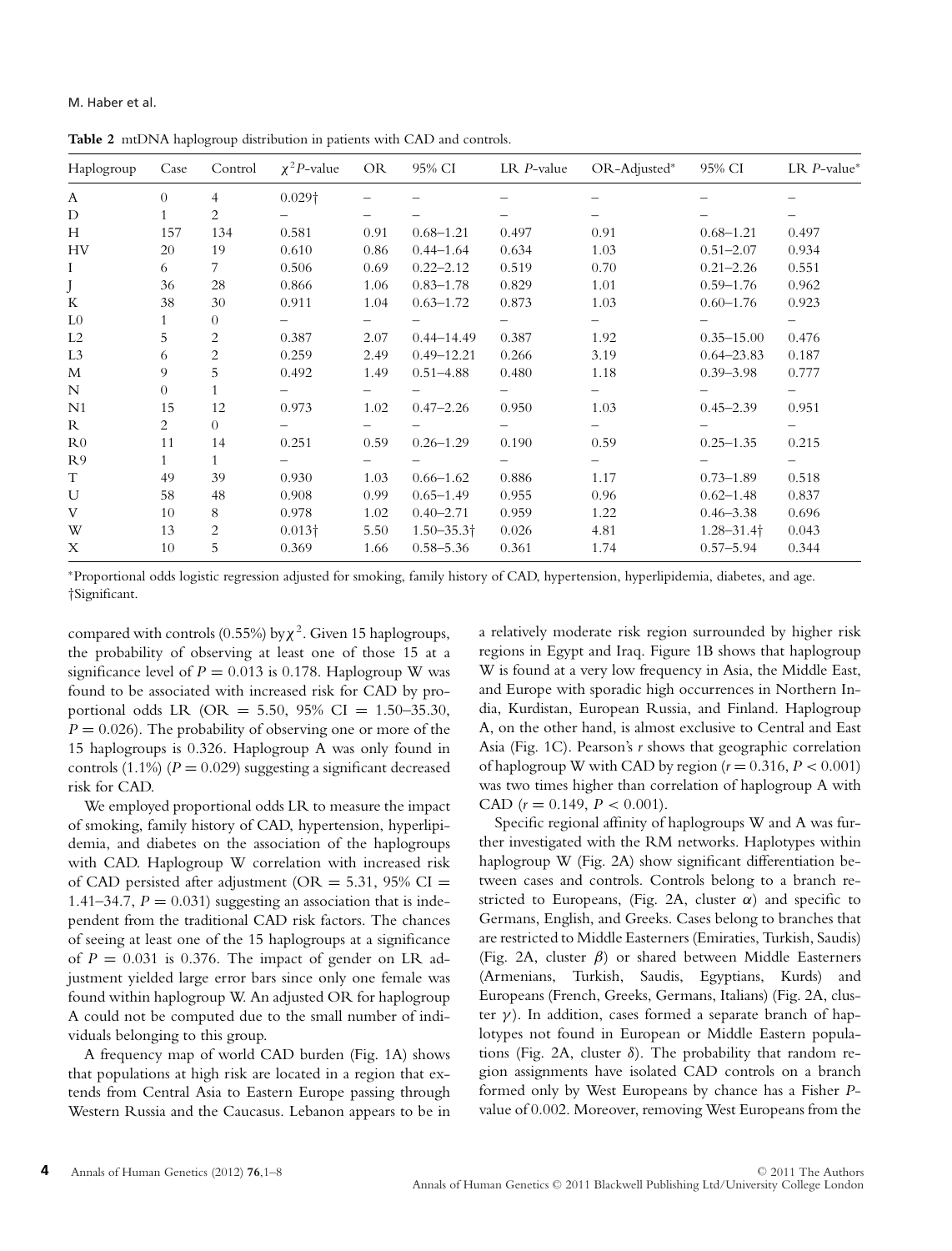**Table 2** mtDNA haplogroup distribution in patients with CAD and controls.

| Haplogroup     | Case         | Control        | $\chi^2$ P-value | OR   | 95% CI                     | LR P-value | OR-Adjusted* | 95% CI         | LR $P$ -value <sup>*</sup> |
|----------------|--------------|----------------|------------------|------|----------------------------|------------|--------------|----------------|----------------------------|
| A              | $\theta$     | $\overline{4}$ | $0.029\dagger$   |      |                            |            |              |                |                            |
| D              |              | $\overline{2}$ |                  |      |                            |            |              |                |                            |
| H              | 157          | 134            | 0.581            | 0.91 | $0.68 - 1.21$              | 0.497      | 0.91         | $0.68 - 1.21$  | 0.497                      |
| HV             | 20           | 19             | 0.610            | 0.86 | $0.44 - 1.64$              | 0.634      | 1.03         | $0.51 - 2.07$  | 0.934                      |
| $\mathbf{I}$   | 6            | 7              | 0.506            | 0.69 | $0.22 - 2.12$              | 0.519      | 0.70         | $0.21 - 2.26$  | 0.551                      |
| J              | 36           | 28             | 0.866            | 1.06 | $0.83 - 1.78$              | 0.829      | 1.01         | $0.59 - 1.76$  | 0.962                      |
| K              | 38           | 30             | 0.911            | 1.04 | $0.63 - 1.72$              | 0.873      | 1.03         | $0.60 - 1.76$  | 0.923                      |
| L <sub>0</sub> | $\mathbf{1}$ | $\Omega$       |                  |      |                            |            |              |                |                            |
| L2             | 5            | 2              | 0.387            | 2.07 | $0.44 - 14.49$             | 0.387      | 1.92         | $0.35 - 15.00$ | 0.476                      |
| L <sub>3</sub> | 6            | $\overline{2}$ | 0.259            | 2.49 | $0.49 - 12.21$             | 0.266      | 3.19         | $0.64 - 23.83$ | 0.187                      |
| M              | 9            | 5              | 0.492            | 1.49 | $0.51 - 4.88$              | 0.480      | 1.18         | $0.39 - 3.98$  | 0.777                      |
| $\mathbf N$    | $\theta$     |                |                  |      |                            |            |              |                |                            |
| N <sub>1</sub> | 15           | 12             | 0.973            | 1.02 | $0.47 - 2.26$              | 0.950      | 1.03         | $0.45 - 2.39$  | 0.951                      |
| R.             | 2            | $\Omega$       |                  |      |                            |            |              |                |                            |
| R <sub>0</sub> | 11           | 14             | 0.251            | 0.59 | $0.26 - 1.29$              | 0.190      | 0.59         | $0.25 - 1.35$  | 0.215                      |
| R <sub>9</sub> | $\mathbf{1}$ | $\mathbf{1}$   |                  |      |                            |            |              |                |                            |
| T              | 49           | 39             | 0.930            | 1.03 | $0.66 - 1.62$              | 0.886      | 1.17         | $0.73 - 1.89$  | 0.518                      |
| U              | 58           | 48             | 0.908            | 0.99 | $0.65 - 1.49$              | 0.955      | 0.96         | $0.62 - 1.48$  | 0.837                      |
| V              | 10           | 8              | 0.978            | 1.02 | $0.40 - 2.71$              | 0.959      | 1.22         | $0.46 - 3.38$  | 0.696                      |
| W              | 13           | 2              | $0.013\dagger$   | 5.50 | $1.50 - 35.3$ <sup>†</sup> | 0.026      | 4.81         | $1.28 - 31.4$  | 0.043                      |
| X              | 10           | 5              | 0.369            | 1.66 | $0.58 - 5.36$              | 0.361      | 1.74         | $0.57 - 5.94$  | 0.344                      |

<sup>∗</sup>Proportional odds logistic regression adjusted for smoking, family history of CAD, hypertension, hyperlipidemia, diabetes, and age. †Significant.

compared with controls (0.55%) by  $\chi^2$ . Given 15 haplogroups, the probability of observing at least one of those 15 at a significance level of  $P = 0.013$  is 0.178. Haplogroup W was found to be associated with increased risk for CAD by proportional odds LR (OR = 5.50, 95% CI = 1.50–35.30,  $P = 0.026$ . The probability of observing one or more of the 15 haplogroups is 0.326. Haplogroup A was only found in controls  $(1.1\%)$   $(P = 0.029)$  suggesting a significant decreased risk for CAD.

We employed proportional odds LR to measure the impact of smoking, family history of CAD, hypertension, hyperlipidemia, and diabetes on the association of the haplogroups with CAD. Haplogroup W correlation with increased risk of CAD persisted after adjustment (OR = 5.31, 95% CI = 1.41–34.7,  $P = 0.031$ ) suggesting an association that is independent from the traditional CAD risk factors. The chances of seeing at least one of the 15 haplogroups at a significance of  $P = 0.031$  is 0.376. The impact of gender on LR adjustment yielded large error bars since only one female was found within haplogroup W. An adjusted OR for haplogroup A could not be computed due to the small number of individuals belonging to this group.

A frequency map of world CAD burden (Fig. 1A) shows that populations at high risk are located in a region that extends from Central Asia to Eastern Europe passing through Western Russia and the Caucasus. Lebanon appears to be in a relatively moderate risk region surrounded by higher risk regions in Egypt and Iraq. Figure 1B shows that haplogroup W is found at a very low frequency in Asia, the Middle East, and Europe with sporadic high occurrences in Northern India, Kurdistan, European Russia, and Finland. Haplogroup A, on the other hand, is almost exclusive to Central and East Asia (Fig. 1C). Pearson's *r* shows that geographic correlation of haplogroup W with CAD by region  $(r = 0.316, P < 0.001)$ was two times higher than correlation of haplogroup A with CAD  $(r = 0.149, P < 0.001)$ .

Specific regional affinity of haplogroups W and A was further investigated with the RM networks. Haplotypes within haplogroup W (Fig. 2A) show significant differentiation between cases and controls. Controls belong to a branch restricted to Europeans, (Fig. 2A, cluster  $\alpha$ ) and specific to Germans, English, and Greeks. Cases belong to branches that are restricted to Middle Easterners (Emiraties, Turkish, Saudis) (Fig. 2A, cluster  $\beta$ ) or shared between Middle Easterners (Armenians, Turkish, Saudis, Egyptians, Kurds) and Europeans (French, Greeks, Germans, Italians) (Fig. 2A, cluster  $\gamma$ ). In addition, cases formed a separate branch of haplotypes not found in European or Middle Eastern populations (Fig. 2A, cluster  $\delta$ ). The probability that random region assignments have isolated CAD controls on a branch formed only by West Europeans by chance has a Fisher *P*value of 0.002. Moreover, removing West Europeans from the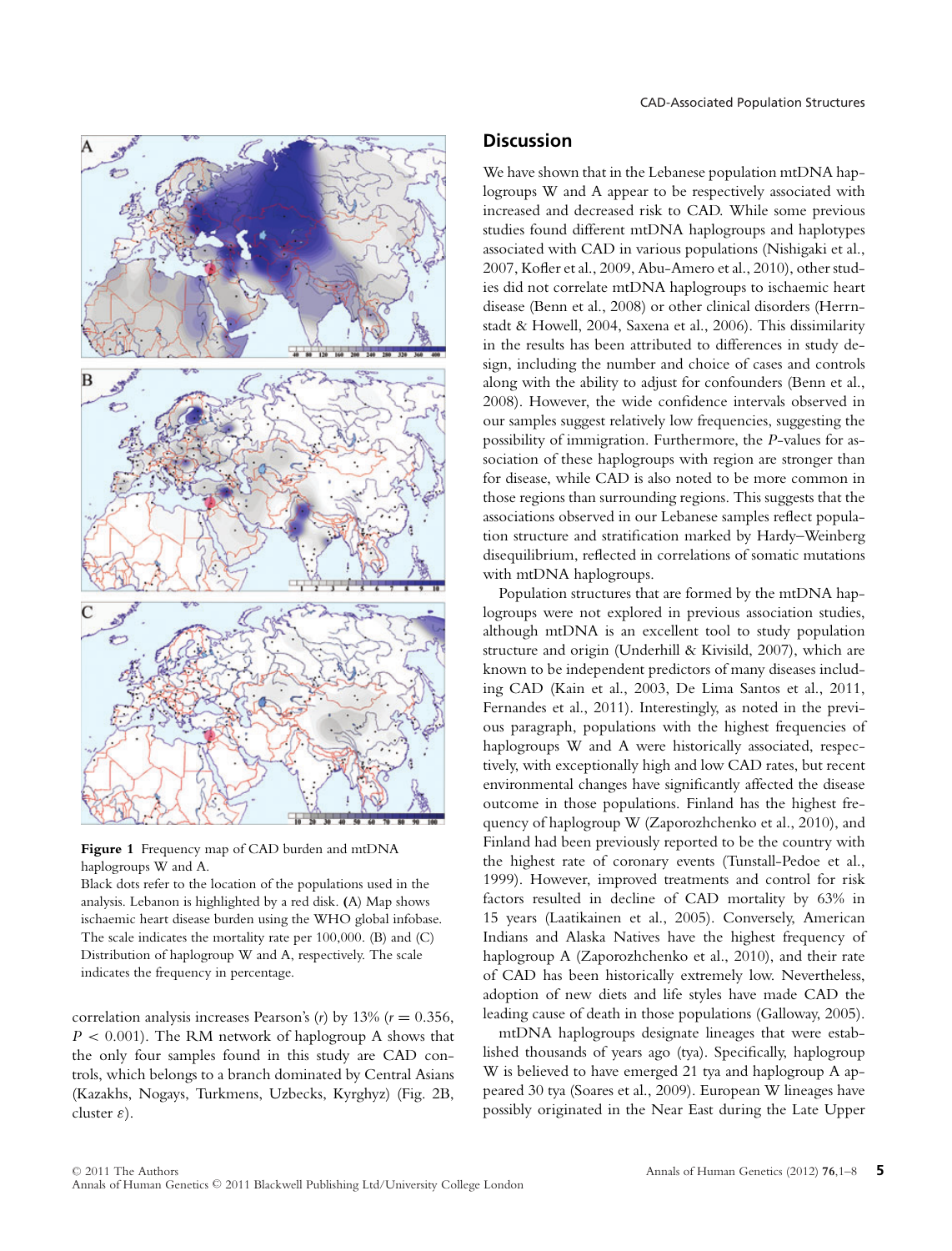

**Figure 1** Frequency map of CAD burden and mtDNA haplogroups W and A.

Black dots refer to the location of the populations used in the analysis. Lebanon is highlighted by a red disk. **(**A) Map shows ischaemic heart disease burden using the WHO global infobase. The scale indicates the mortality rate per 100,000. (B) and (C) Distribution of haplogroup W and A, respectively. The scale indicates the frequency in percentage.

correlation analysis increases Pearson's (*r*) by 13% (*r* = 0.356,  $P < 0.001$ ). The RM network of haplogroup A shows that the only four samples found in this study are CAD controls, which belongs to a branch dominated by Central Asians (Kazakhs, Nogays, Turkmens, Uzbecks, Kyrghyz) (Fig. 2B, cluster  $\varepsilon$ ).

## **Discussion**

We have shown that in the Lebanese population mtDNA haplogroups W and A appear to be respectively associated with increased and decreased risk to CAD. While some previous studies found different mtDNA haplogroups and haplotypes associated with CAD in various populations (Nishigaki et al., 2007, Kofler et al., 2009, Abu-Amero et al., 2010), other studies did not correlate mtDNA haplogroups to ischaemic heart disease (Benn et al., 2008) or other clinical disorders (Herrnstadt & Howell, 2004, Saxena et al., 2006). This dissimilarity in the results has been attributed to differences in study design, including the number and choice of cases and controls along with the ability to adjust for confounders (Benn et al., 2008). However, the wide confidence intervals observed in our samples suggest relatively low frequencies, suggesting the possibility of immigration. Furthermore, the *P*-values for association of these haplogroups with region are stronger than for disease, while CAD is also noted to be more common in those regions than surrounding regions. This suggests that the associations observed in our Lebanese samples reflect population structure and stratification marked by Hardy–Weinberg disequilibrium, reflected in correlations of somatic mutations with mtDNA haplogroups.

Population structures that are formed by the mtDNA haplogroups were not explored in previous association studies, although mtDNA is an excellent tool to study population structure and origin (Underhill & Kivisild, 2007), which are known to be independent predictors of many diseases including CAD (Kain et al., 2003, De Lima Santos et al., 2011, Fernandes et al., 2011). Interestingly, as noted in the previous paragraph, populations with the highest frequencies of haplogroups W and A were historically associated, respectively, with exceptionally high and low CAD rates, but recent environmental changes have significantly affected the disease outcome in those populations. Finland has the highest frequency of haplogroup W (Zaporozhchenko et al., 2010), and Finland had been previously reported to be the country with the highest rate of coronary events (Tunstall-Pedoe et al., 1999). However, improved treatments and control for risk factors resulted in decline of CAD mortality by 63% in 15 years (Laatikainen et al., 2005). Conversely, American Indians and Alaska Natives have the highest frequency of haplogroup A (Zaporozhchenko et al., 2010), and their rate of CAD has been historically extremely low. Nevertheless, adoption of new diets and life styles have made CAD the leading cause of death in those populations (Galloway, 2005).

mtDNA haplogroups designate lineages that were established thousands of years ago (tya). Specifically, haplogroup W is believed to have emerged 21 tya and haplogroup A appeared 30 tya (Soares et al., 2009). European W lineages have possibly originated in the Near East during the Late Upper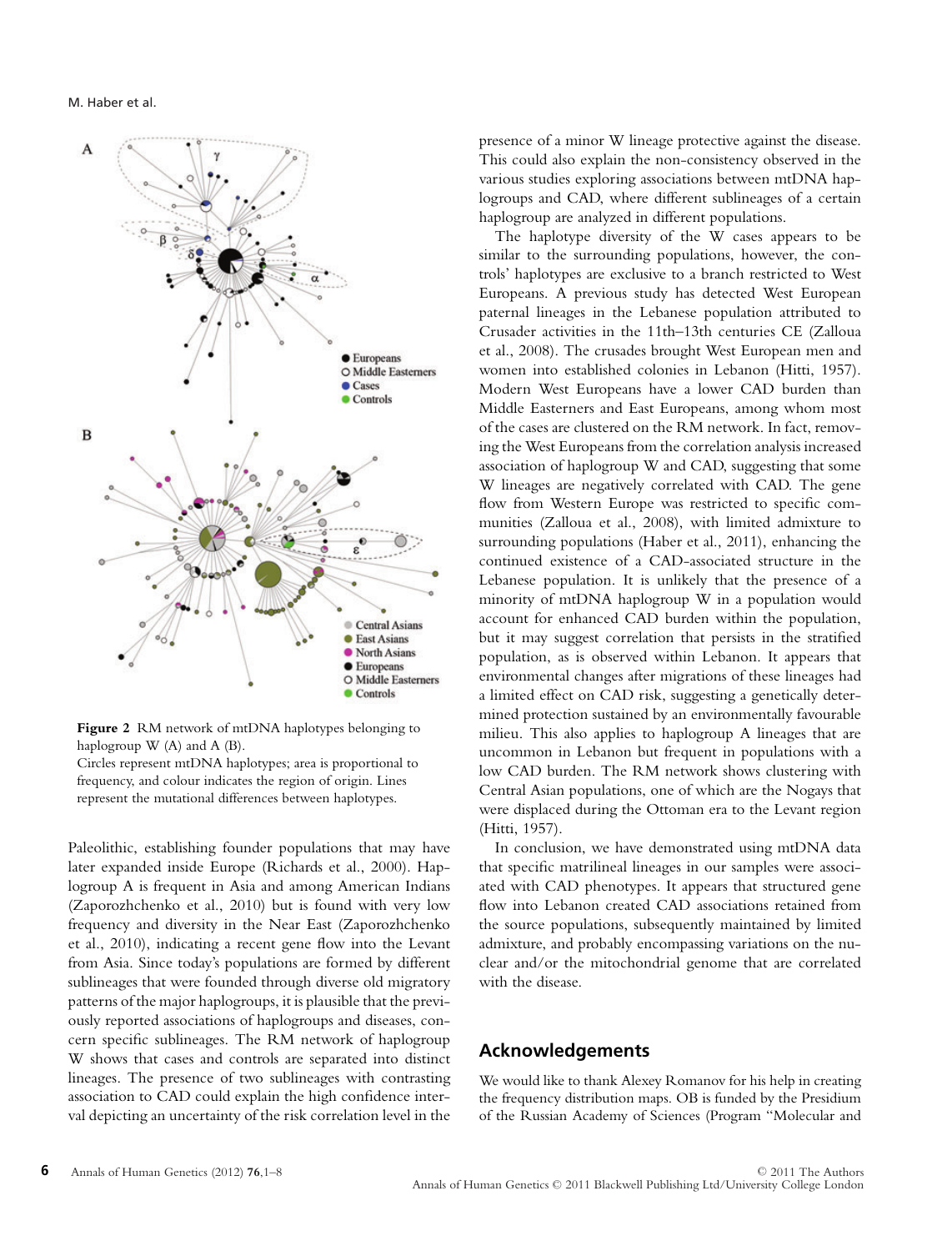

**Figure 2** RM network of mtDNA haplotypes belonging to haplogroup W (A) and A (B).

Circles represent mtDNA haplotypes; area is proportional to frequency, and colour indicates the region of origin. Lines represent the mutational differences between haplotypes.

Paleolithic, establishing founder populations that may have later expanded inside Europe (Richards et al., 2000). Haplogroup A is frequent in Asia and among American Indians (Zaporozhchenko et al., 2010) but is found with very low frequency and diversity in the Near East (Zaporozhchenko et al., 2010), indicating a recent gene flow into the Levant from Asia. Since today's populations are formed by different sublineages that were founded through diverse old migratory patterns of the major haplogroups, it is plausible that the previously reported associations of haplogroups and diseases, concern specific sublineages. The RM network of haplogroup W shows that cases and controls are separated into distinct lineages. The presence of two sublineages with contrasting association to CAD could explain the high confidence interval depicting an uncertainty of the risk correlation level in the

presence of a minor W lineage protective against the disease. This could also explain the non-consistency observed in the various studies exploring associations between mtDNA haplogroups and CAD, where different sublineages of a certain haplogroup are analyzed in different populations.

The haplotype diversity of the W cases appears to be similar to the surrounding populations, however, the controls' haplotypes are exclusive to a branch restricted to West Europeans. A previous study has detected West European paternal lineages in the Lebanese population attributed to Crusader activities in the 11th–13th centuries CE (Zalloua et al., 2008). The crusades brought West European men and women into established colonies in Lebanon (Hitti, 1957). Modern West Europeans have a lower CAD burden than Middle Easterners and East Europeans, among whom most of the cases are clustered on the RM network. In fact, removing the West Europeans from the correlation analysis increased association of haplogroup W and CAD, suggesting that some W lineages are negatively correlated with CAD. The gene flow from Western Europe was restricted to specific communities (Zalloua et al., 2008), with limited admixture to surrounding populations (Haber et al., 2011), enhancing the continued existence of a CAD-associated structure in the Lebanese population. It is unlikely that the presence of a minority of mtDNA haplogroup W in a population would account for enhanced CAD burden within the population, but it may suggest correlation that persists in the stratified population, as is observed within Lebanon. It appears that environmental changes after migrations of these lineages had a limited effect on CAD risk, suggesting a genetically determined protection sustained by an environmentally favourable milieu. This also applies to haplogroup A lineages that are uncommon in Lebanon but frequent in populations with a low CAD burden. The RM network shows clustering with Central Asian populations, one of which are the Nogays that were displaced during the Ottoman era to the Levant region (Hitti, 1957).

In conclusion, we have demonstrated using mtDNA data that specific matrilineal lineages in our samples were associated with CAD phenotypes. It appears that structured gene flow into Lebanon created CAD associations retained from the source populations, subsequently maintained by limited admixture, and probably encompassing variations on the nuclear and/or the mitochondrial genome that are correlated with the disease.

## **Acknowledgements**

We would like to thank Alexey Romanov for his help in creating the frequency distribution maps. OB is funded by the Presidium of the Russian Academy of Sciences (Program "Molecular and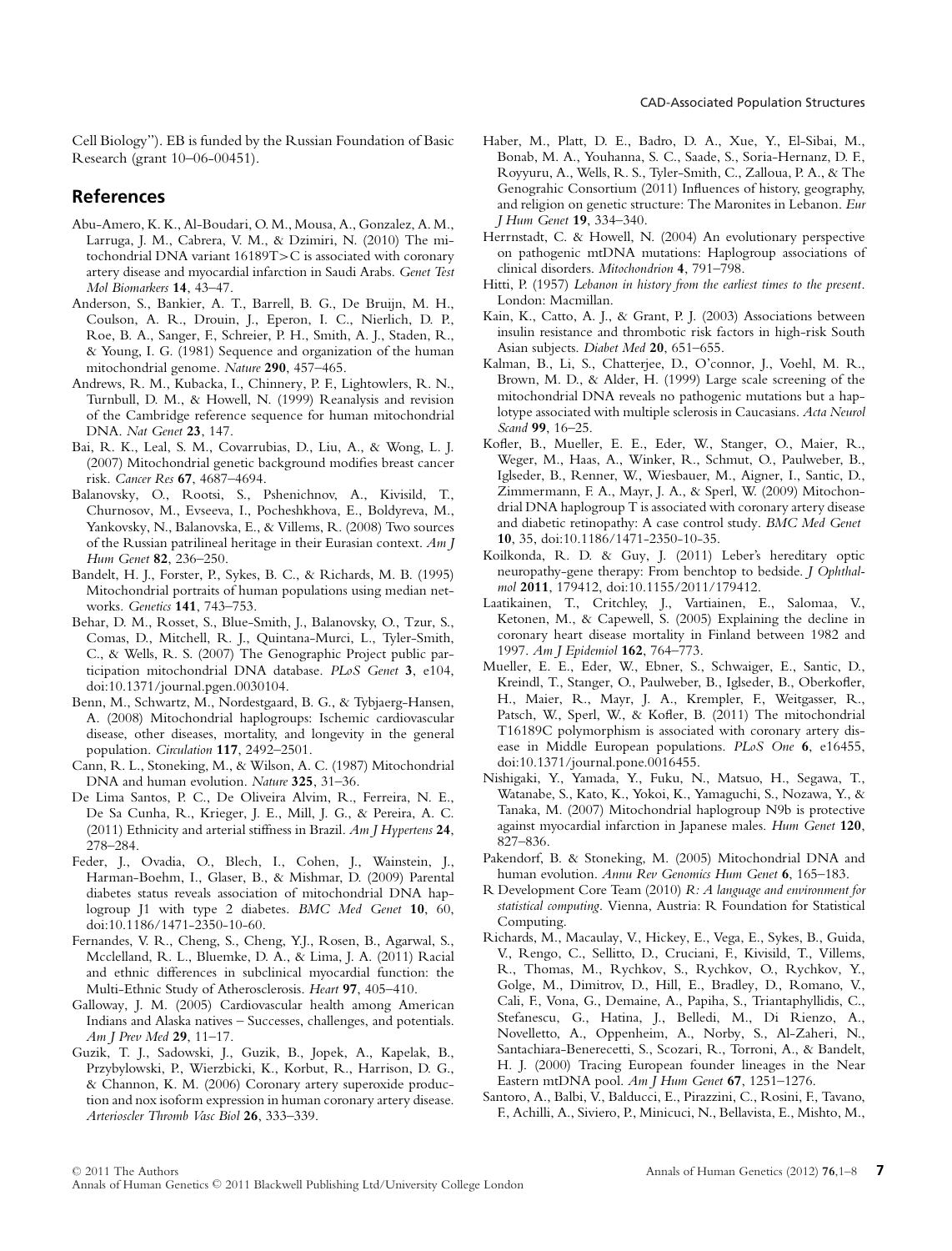Cell Biology"). EB is funded by the Russian Foundation of Basic Research (grant 10–06-00451).

## **References**

- Abu-Amero, K. K., Al-Boudari, O. M., Mousa, A., Gonzalez, A. M., Larruga, J. M., Cabrera, V. M., & Dzimiri, N. (2010) The mitochondrial DNA variant 16189T>C is associated with coronary artery disease and myocardial infarction in Saudi Arabs. *Genet Test Mol Biomarkers* **14**, 43–47.
- Anderson, S., Bankier, A. T., Barrell, B. G., De Bruijn, M. H., Coulson, A. R., Drouin, J., Eperon, I. C., Nierlich, D. P., Roe, B. A., Sanger, F., Schreier, P. H., Smith, A. J., Staden, R., & Young, I. G. (1981) Sequence and organization of the human mitochondrial genome. *Nature* **290**, 457–465.
- Andrews, R. M., Kubacka, I., Chinnery, P. F., Lightowlers, R. N., Turnbull, D. M., & Howell, N. (1999) Reanalysis and revision of the Cambridge reference sequence for human mitochondrial DNA. *Nat Genet* **23**, 147.
- Bai, R. K., Leal, S. M., Covarrubias, D., Liu, A., & Wong, L. J. (2007) Mitochondrial genetic background modifies breast cancer risk. *Cancer Res* **67**, 4687–4694.
- Balanovsky, O., Rootsi, S., Pshenichnov, A., Kivisild, T., Churnosov, M., Evseeva, I., Pocheshkhova, E., Boldyreva, M., Yankovsky, N., Balanovska, E., & Villems, R. (2008) Two sources of the Russian patrilineal heritage in their Eurasian context. *Am J Hum Genet* **82**, 236–250.
- Bandelt, H. J., Forster, P., Sykes, B. C., & Richards, M. B. (1995) Mitochondrial portraits of human populations using median networks. *Genetics* **141**, 743–753.
- Behar, D. M., Rosset, S., Blue-Smith, J., Balanovsky, O., Tzur, S., Comas, D., Mitchell, R. J., Quintana-Murci, L., Tyler-Smith, C., & Wells, R. S. (2007) The Genographic Project public participation mitochondrial DNA database. *PLoS Genet* **3**, e104, doi:10.1371/journal.pgen.0030104.
- Benn, M., Schwartz, M., Nordestgaard, B. G., & Tybjaerg-Hansen, A. (2008) Mitochondrial haplogroups: Ischemic cardiovascular disease, other diseases, mortality, and longevity in the general population. *Circulation* **117**, 2492–2501.
- Cann, R. L., Stoneking, M., & Wilson, A. C. (1987) Mitochondrial DNA and human evolution. *Nature* **325**, 31–36.
- De Lima Santos, P. C., De Oliveira Alvim, R., Ferreira, N. E., De Sa Cunha, R., Krieger, J. E., Mill, J. G., & Pereira, A. C. (2011) Ethnicity and arterial stiffness in Brazil. *Am J Hypertens* **24**, 278–284.
- Feder, J., Ovadia, O., Blech, I., Cohen, J., Wainstein, J., Harman-Boehm, I., Glaser, B., & Mishmar, D. (2009) Parental diabetes status reveals association of mitochondrial DNA haplogroup J1 with type 2 diabetes. *BMC Med Genet* **10**, 60, doi:10.1186/1471-2350-10-60.
- Fernandes, V. R., Cheng, S., Cheng, Y.J., Rosen, B., Agarwal, S., Mcclelland, R. L., Bluemke, D. A., & Lima, J. A. (2011) Racial and ethnic differences in subclinical myocardial function: the Multi-Ethnic Study of Atherosclerosis. *Heart* **97**, 405–410.
- Galloway, J. M. (2005) Cardiovascular health among American Indians and Alaska natives – Successes, challenges, and potentials. *Am J Prev Med* **29**, 11–17.
- Guzik, T. J., Sadowski, J., Guzik, B., Jopek, A., Kapelak, B., Przybylowski, P., Wierzbicki, K., Korbut, R., Harrison, D. G., & Channon, K. M. (2006) Coronary artery superoxide production and nox isoform expression in human coronary artery disease. *Arterioscler Thromb Vasc Biol* **26**, 333–339.
- Haber, M., Platt, D. E., Badro, D. A., Xue, Y., El-Sibai, M., Bonab, M. A., Youhanna, S. C., Saade, S., Soria-Hernanz, D. F., Royyuru, A., Wells, R. S., Tyler-Smith, C., Zalloua, P. A., & The Genograhic Consortium (2011) Influences of history, geography, and religion on genetic structure: The Maronites in Lebanon. *Eur J Hum Genet* **19**, 334–340.
- Herrnstadt, C. & Howell, N. (2004) An evolutionary perspective on pathogenic mtDNA mutations: Haplogroup associations of clinical disorders. *Mitochondrion* **4**, 791–798.
- Hitti, P. (1957) *Lebanon in history from the earliest times to the present*. London: Macmillan.
- Kain, K., Catto, A. J., & Grant, P. J. (2003) Associations between insulin resistance and thrombotic risk factors in high-risk South Asian subjects. *Diabet Med* **20**, 651–655.
- Kalman, B., Li, S., Chatterjee, D., O'connor, J., Voehl, M. R., Brown, M. D., & Alder, H. (1999) Large scale screening of the mitochondrial DNA reveals no pathogenic mutations but a haplotype associated with multiple sclerosis in Caucasians. *Acta Neurol Scand* **99**, 16–25.
- Kofler, B., Mueller, E. E., Eder, W., Stanger, O., Maier, R., Weger, M., Haas, A., Winker, R., Schmut, O., Paulweber, B., Iglseder, B., Renner, W., Wiesbauer, M., Aigner, I., Santic, D., Zimmermann, F. A., Mayr, J. A., & Sperl, W. (2009) Mitochondrial DNA haplogroup T is associated with coronary artery disease and diabetic retinopathy: A case control study. *BMC Med Genet* **10**, 35, doi:10.1186/1471-2350-10-35.
- Koilkonda, R. D. & Guy, J. (2011) Leber's hereditary optic neuropathy-gene therapy: From benchtop to bedside. *J Ophthalmol* **2011**, 179412, doi:10.1155/2011/179412.
- Laatikainen, T., Critchley, J., Vartiainen, E., Salomaa, V., Ketonen, M., & Capewell, S. (2005) Explaining the decline in coronary heart disease mortality in Finland between 1982 and 1997. *Am J Epidemiol* **162**, 764–773.
- Mueller, E. E., Eder, W., Ebner, S., Schwaiger, E., Santic, D., Kreindl, T., Stanger, O., Paulweber, B., Iglseder, B., Oberkofler, H., Maier, R., Mayr, J. A., Krempler, F., Weitgasser, R., Patsch, W., Sperl, W., & Kofler, B. (2011) The mitochondrial T16189C polymorphism is associated with coronary artery disease in Middle European populations. *PLoS One* **6**, e16455, doi:10.1371/journal.pone.0016455.
- Nishigaki, Y., Yamada, Y., Fuku, N., Matsuo, H., Segawa, T., Watanabe, S., Kato, K., Yokoi, K., Yamaguchi, S., Nozawa, Y., & Tanaka, M. (2007) Mitochondrial haplogroup N9b is protective against myocardial infarction in Japanese males. *Hum Genet* **120**, 827–836.
- Pakendorf, B. & Stoneking, M. (2005) Mitochondrial DNA and human evolution. *Annu Rev Genomics Hum Genet* **6**, 165–183.
- R Development Core Team (2010) *R: A language and environment for statistical computing*. Vienna, Austria: R Foundation for Statistical Computing.
- Richards, M., Macaulay, V., Hickey, E., Vega, E., Sykes, B., Guida, V., Rengo, C., Sellitto, D., Cruciani, F., Kivisild, T., Villems, R., Thomas, M., Rychkov, S., Rychkov, O., Rychkov, Y., Golge, M., Dimitrov, D., Hill, E., Bradley, D., Romano, V., Cali, F., Vona, G., Demaine, A., Papiha, S., Triantaphyllidis, C., Stefanescu, G., Hatina, J., Belledi, M., Di Rienzo, A., Novelletto, A., Oppenheim, A., Norby, S., Al-Zaheri, N., Santachiara-Benerecetti, S., Scozari, R., Torroni, A., & Bandelt, H. J. (2000) Tracing European founder lineages in the Near Eastern mtDNA pool. *Am J Hum Genet* **67**, 1251–1276.
- Santoro, A., Balbi, V., Balducci, E., Pirazzini, C., Rosini, F., Tavano, F., Achilli, A., Siviero, P., Minicuci, N., Bellavista, E., Mishto, M.,